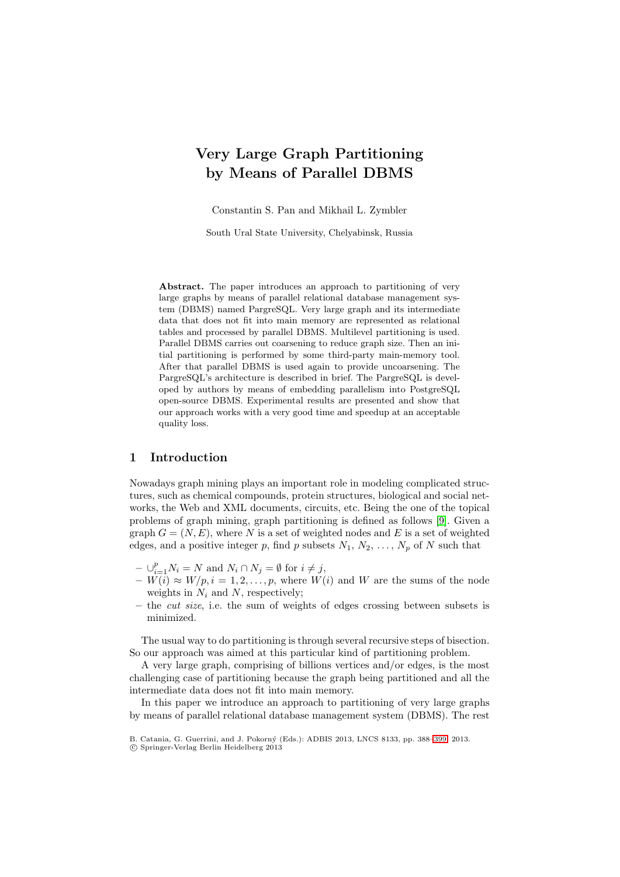# **Very Large Graph Partitioning by Means of Parallel DBMS**

Constantin S. Pan and Mikhail L. Zymbler

South Ural State University, Chelyabinsk, Russia

**Abstract.** The paper introduces an approach to partitioning of very large graphs by means of parallel relational database management system (DBMS) named PargreSQL. Very large graph and its intermediate data that does not fit into main memory are represented as relational tables and processed by parallel DBMS. Multilevel partitioning is used. Parallel DBMS carries out coarsening to reduce graph size. Then an initial partitioning is performed by some third-party main-memory tool. After that parallel DBMS is used again to provide uncoarsening. The PargreSQL's architecture is described in brief. The PargreSQL is developed by authors by means of embedding parallelism into PostgreSQL open-source DBMS. Experimental results are presented and show that our approach works with a very good time and speedup at an acceptable quality loss.

## **1 Introduction**

Nowadays graph mining plays an important role in modeling complicated structures, such as chemical compounds, protein structures, biological and social networks, the Web and XML documents, circuits, etc. Being the one of the topical problems of graph mining, graph partitioning is defined as follows [\[9\]](#page-10-0). Given a graph  $G = (N, E)$ , where N is a set of weighted nodes and E is a set of weighted edges, and a positive integer p, find p subsets  $N_1, N_2, \ldots, N_p$  of N such that

- $\bigcup_{i=1}^{p} N_i = N$  and  $N_i \cap N_j = ∅$  for  $i \neq j$ ,
- $-V(i) \approx W(p, i = 1, 2, \ldots, p$ , where  $W(i)$  and  $W$  are the sums of the node weights in  $N_i$  and N, respectively;
- **–** the *cut size*, i.e. the sum of weights of edges crossing between subsets is minimized.

The usual way to do partitioning is through several recursive steps of bisection. So our approach was aimed at this particular kind of partitioning problem.

A very large graph, comprising of billions vertices and/or edges, is the most challenging case of partitioning because the graph being partitioned and all the intermediate data does not fit into main memory.

In this paper we introduce an approach to partitioning of very large graphs by means of parallel relational database management system (DBMS). The rest

B. Catania, G. Guerrini, and J. Pokorn´y (Eds.): ADBIS 2013, LNCS 8133, pp. 388[–399,](#page-10-1) 2013.

<sup>-</sup>c Springer-Verlag Berlin Heidelberg 2013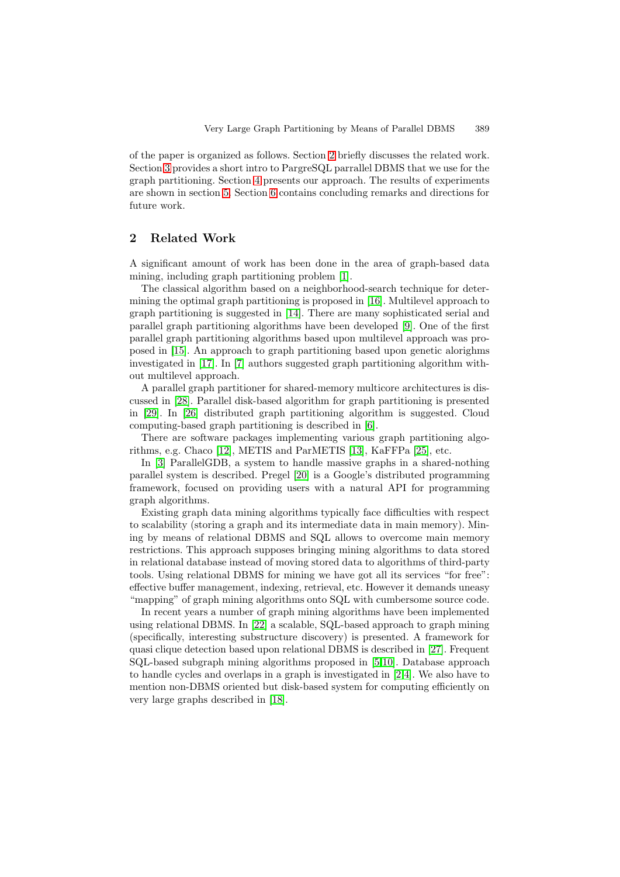of the paper is organized as follows. Section [2](#page-1-0) briefly discusses the related work. Section [3](#page-2-0) provides a short intro to PargreSQL parrallel DBMS that we use for the graph partitioning. Section [4](#page-3-0) presents our approach. The results of experiments are shown in section [5.](#page-8-0) Section [6](#page-9-0) contains concluding remarks and directions for future work.

# <span id="page-1-0"></span>**2 Related Work**

A significant amount of work has been done in the area of graph-based data mining, including graph partitioning problem [\[1\]](#page-10-2).

The classical algorithm based on a neighborhood-search technique for determining the optimal graph partitioning is proposed in [\[16\]](#page-10-3). Multilevel approach to graph partitioning is suggested in [\[14\]](#page-10-4). There are many sophisticated serial and parallel graph partitioning algorithms have been developed [\[9\]](#page-10-0). One of the first parallel graph partitioning algorithms based upon multilevel approach was proposed in [\[15\]](#page-10-5). An approach to graph partitioning based upon genetic alorighms investigated in [\[17\]](#page-10-6). In [\[7\]](#page-10-7) authors suggested graph partitioning algorithm without multilevel approach.

A parallel graph partitioner for shared-memory multicore architectures is discussed in [\[28\]](#page-11-0). Parallel disk-based algorithm for graph partitioning is presented in [\[29\]](#page-11-1). In [\[26\]](#page-11-2) distributed graph partitioning algorithm is suggested. Cloud computing-based graph partitioning is described in [\[6\]](#page-10-8).

There are software packages implementing various graph partitioning algorithms, e.g. Chaco [\[12\]](#page-10-9), METIS and ParMETIS [\[13\]](#page-10-10), KaFFPa [\[25\]](#page-11-3), etc.

In [\[3\]](#page-10-11) ParallelGDB, a system to handle massive graphs in a shared-nothing parallel system is described. Pregel [\[20\]](#page-10-12) is a Google's distributed programming framework, focused on providing users with a natural API for programming graph algorithms.

Existing graph data mining algorithms typically face difficulties with respect to scalability (storing a graph and its intermediate data in main memory). Mining by means of relational DBMS and SQL allows to overcome main memory restrictions. This approach supposes bringing mining algorithms to data stored in relational database instead of moving stored data to algorithms of third-party tools. Using relational DBMS for mining we have got all its services "for free": effective buffer management, indexing, retrieval, etc. However it demands uneasy "mapping" of graph mining algorithms onto SQL with cumbersome source code.

In recent years a number of graph mining algorithms have been implemented using relational DBMS. In [\[22\]](#page-11-4) a scalable, SQL-based approach to graph mining (specifically, interesting substructure discovery) is presented. A framework for quasi clique detection based upon relational DBMS is described in [\[27\]](#page-11-5). Frequent SQL-based subgraph mining algorithms proposed in [\[5,](#page-10-13)[10\]](#page-10-14). Database approach to handle cycles and overlaps in a graph is investigated in [\[2](#page-10-15)[,4\]](#page-10-16). We also have to mention non-DBMS oriented but disk-based system for computing efficiently on very large graphs described in [\[18\]](#page-10-17).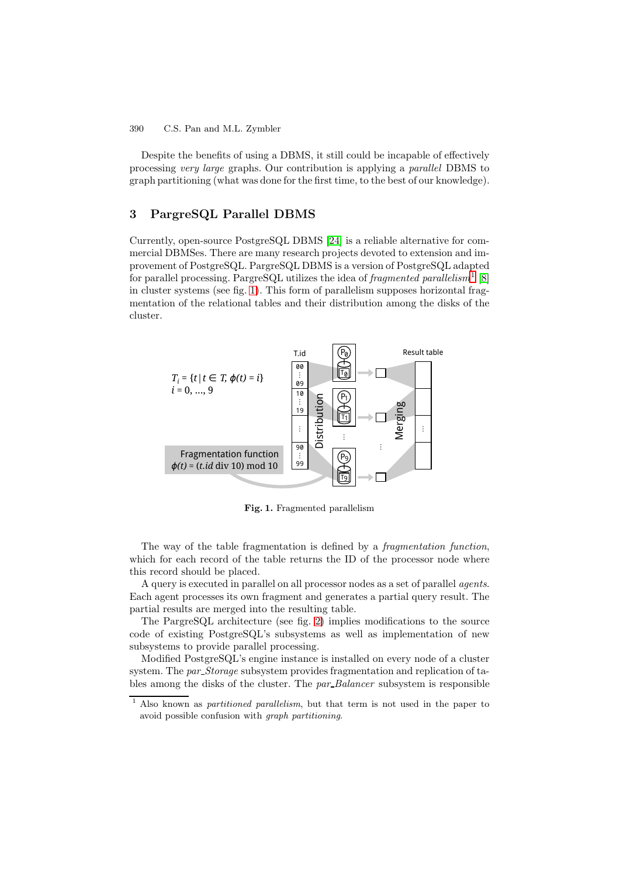Despite the benefits of using a DBMS, it still could be incapable of effectively processing *very large* graphs. Our contribution is applying a *parallel* DBMS to graph partitioning (what was done for the first time, to the best of our knowledge).

# <span id="page-2-0"></span>**3 PargreSQL Parallel DBMS**

Currently, open-source PostgreSQL DBMS [\[24\]](#page-11-6) is a reliable alternative for commercial DBMSes. There are many research projects devoted to extension and improvement of PostgreSQL. PargreSQL DBMS is a version of PostgreSQL adapted for parallel processing. PargreSQL utilizes the idea of *fragmented parallelism*[1](#page-2-1) [\[8\]](#page-10-18) in cluster systems (see fig. [1\)](#page-2-2). This form of parallelism supposes horizontal fragmentation of the relational tables and their distribution among the disks of the cluster.



<span id="page-2-2"></span>**Fig. 1.** Fragmented parallelism

The way of the table fragmentation is defined by a *fragmentation function*, which for each record of the table returns the ID of the processor node where this record should be placed.

A query is executed in parallel on all processor nodes as a set of parallel *agents*. Each agent processes its own fragment and generates a partial query result. The partial results are merged into the resulting table.

The PargreSQL architecture (see fig. [2\)](#page-3-1) implies modifications to the source code of existing PostgreSQL's subsystems as well as implementation of new subsystems to provide parallel processing.

Modified PostgreSQL's engine instance is installed on every node of a cluster system. The *par Storage* subsystem provides fragmentation and replication of tables among the disks of the cluster. The *par Balancer* subsystem is responsible

<span id="page-2-1"></span><sup>1</sup> Also known as *partitioned parallelism*, but that term is not used in the paper to avoid possible confusion with *graph partitioning*.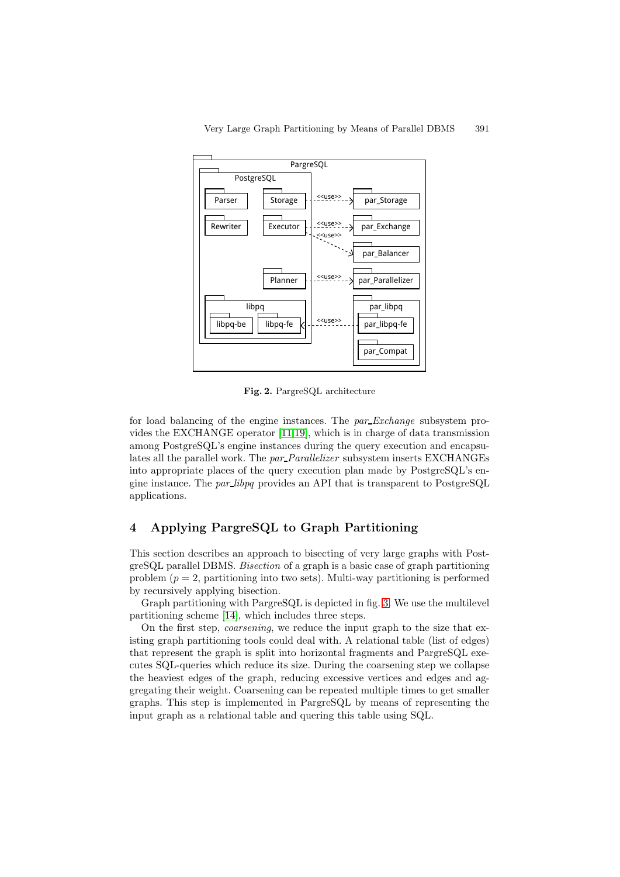

<span id="page-3-1"></span>**Fig. 2.** PargreSQL architecture

for load balancing of the engine instances. The *par Exchange* subsystem provides the EXCHANGE operator [\[11](#page-10-19)[,19\]](#page-10-20), which is in charge of data transmission among PostgreSQL's engine instances during the query execution and encapsulates all the parallel work. The *par Parallelizer* subsystem inserts EXCHANGEs into appropriate places of the query execution plan made by PostgreSQL's engine instance. The *par libpq* provides an API that is transparent to PostgreSQL applications.

# <span id="page-3-0"></span>**4 Applying PargreSQL to Graph Partitioning**

This section describes an approach to bisecting of very large graphs with PostgreSQL parallel DBMS. *Bisection* of a graph is a basic case of graph partitioning problem  $(p = 2$ , partitioning into two sets). Multi-way partitioning is performed by recursively applying bisection.

Graph partitioning with PargreSQL is depicted in fig. [3.](#page-4-0) We use the multilevel partitioning scheme [\[14\]](#page-10-4), which includes three steps.

On the first step, *coarsening*, we reduce the input graph to the size that existing graph partitioning tools could deal with. A relational table (list of edges) that represent the graph is split into horizontal fragments and PargreSQL executes SQL-queries which reduce its size. During the coarsening step we collapse the heaviest edges of the graph, reducing excessive vertices and edges and aggregating their weight. Coarsening can be repeated multiple times to get smaller graphs. This step is implemented in PargreSQL by means of representing the input graph as a relational table and quering this table using SQL.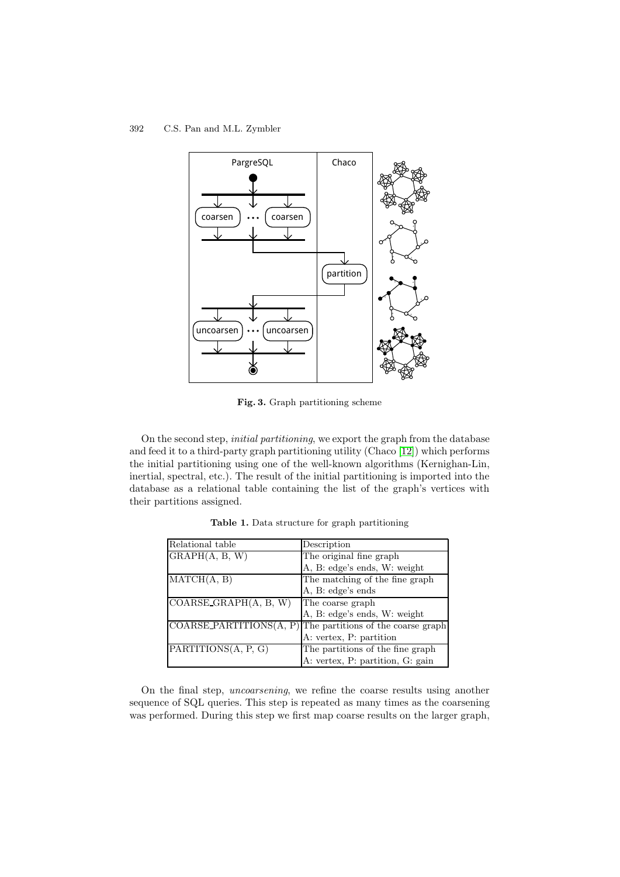

<span id="page-4-0"></span>**Fig. 3.** Graph partitioning scheme

On the second step, *initial partitioning*, we export the graph from the database and feed it to a third-party graph partitioning utility (Chaco [\[12\]](#page-10-9)) which performs the initial partitioning using one of the well-known algorithms (Kernighan-Lin, inertial, spectral, etc.). The result of the initial partitioning is imported into the database as a relational table containing the list of the graph's vertices with their partitions assigned.

| Relational table         | Description                                                   |
|--------------------------|---------------------------------------------------------------|
| GRAPH(A, B, W)           | The original fine graph                                       |
|                          | A, B: edge's ends, W: weight                                  |
| MATCH(A, B)              | The matching of the fine graph                                |
|                          | A, B: edge's ends                                             |
| COARSE GRAPH $(A, B, W)$ | The coarse graph                                              |
|                          | A, B: edge's ends, W: weight                                  |
|                          | COARSE PARTITIONS $(A, P)$ The partitions of the coarse graph |
|                          | A: vertex, P: partition                                       |
| PARTITIONS(A, P, G)      | The partitions of the fine graph                              |
|                          | A: vertex, P: partition, G: gain                              |

<span id="page-4-1"></span>**Table 1.** Data structure for graph partitioning

On the final step, *uncoarsening*, we refine the coarse results using another sequence of SQL queries. This step is repeated as many times as the coarsening was performed. During this step we first map coarse results on the larger graph,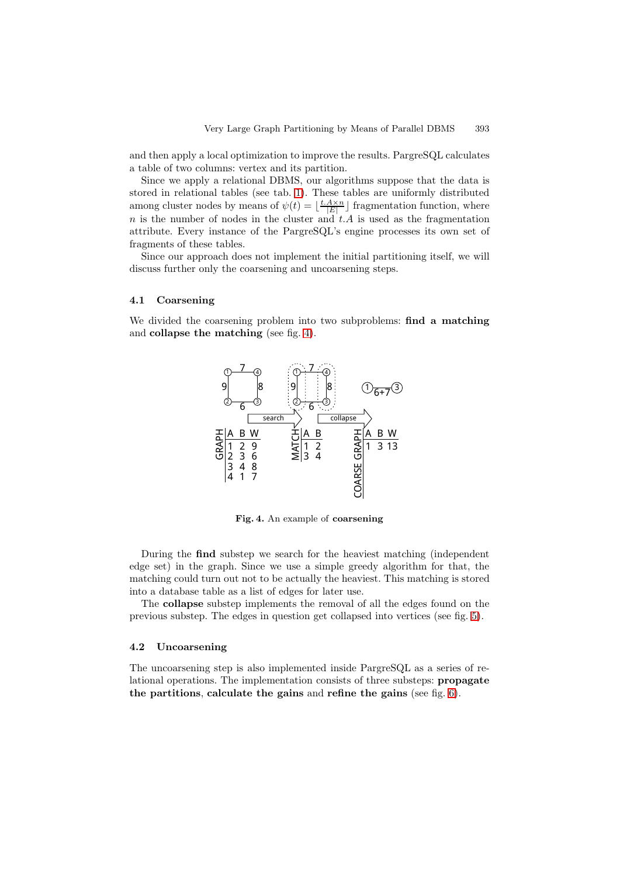and then apply a local optimization to improve the results. PargreSQL calculates a table of two columns: vertex and its partition.

Since we apply a relational DBMS, our algorithms suppose that the data is stored in relational tables (see tab. [1\)](#page-4-1). These tables are uniformly distributed among cluster nodes by means of  $\psi(t) = \lfloor \frac{t.A \times n}{|E|} \rfloor$  fragmentation function, where n is the number of nodes in the cluster and  $t.A$  is used as the fragmentation attribute. Every instance of the PargreSQL's engine processes its own set of fragments of these tables.

Since our approach does not implement the initial partitioning itself, we will discuss further only the coarsening and uncoarsening steps.

#### **4.1 Coarsening**

We divided the coarsening problem into two subproblems: **find a matching** and **collapse the matching** (see fig. [4\)](#page-5-0).



<span id="page-5-0"></span>**Fig. 4.** An example of **coarsening**

During the **find** substep we search for the heaviest matching (independent edge set) in the graph. Since we use a simple greedy algorithm for that, the matching could turn out not to be actually the heaviest. This matching is stored into a database table as a list of edges for later use.

The **collapse** substep implements the removal of all the edges found on the previous substep. The edges in question get collapsed into vertices (see fig. [5\)](#page-6-0).

## **4.2 Uncoarsening**

The uncoarsening step is also implemented inside PargreSQL as a series of relational operations. The implementation consists of three substeps: **propagate the partitions**, **calculate the gains** and **refine the gains** (see fig. [6\)](#page-6-1).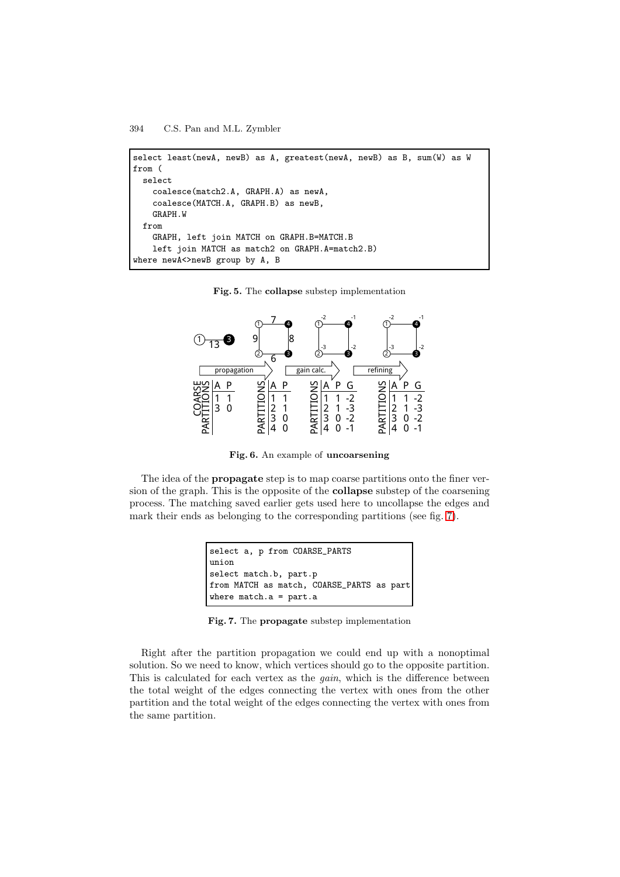```
select least(newA, newB) as A, greatest(newA, newB) as B, sum(W) as W
from (
 select
    coalesce(match2.A, GRAPH.A) as newA,
    coalesce(MATCH.A, GRAPH.B) as newB,
    GRAPH.W
 from
    GRAPH, left join MATCH on GRAPH.B=MATCH.B
    left join MATCH as match2 on GRAPH.A=match2.B)
where newA<>newB group by A, B
```
<span id="page-6-0"></span>



<span id="page-6-1"></span>**Fig. 6.** An example of **uncoarsening**

The idea of the **propagate** step is to map coarse partitions onto the finer version of the graph. This is the opposite of the **collapse** substep of the coarsening process. The matching saved earlier gets used here to uncollapse the edges and mark their ends as belonging to the corresponding partitions (see fig. [7\)](#page-6-2).

<span id="page-6-2"></span>**Fig. 7.** The **propagate** substep implementation

Right after the partition propagation we could end up with a nonoptimal solution. So we need to know, which vertices should go to the opposite partition. This is calculated for each vertex as the *gain*, which is the difference between the total weight of the edges connecting the vertex with ones from the other partition and the total weight of the edges connecting the vertex with ones from the same partition.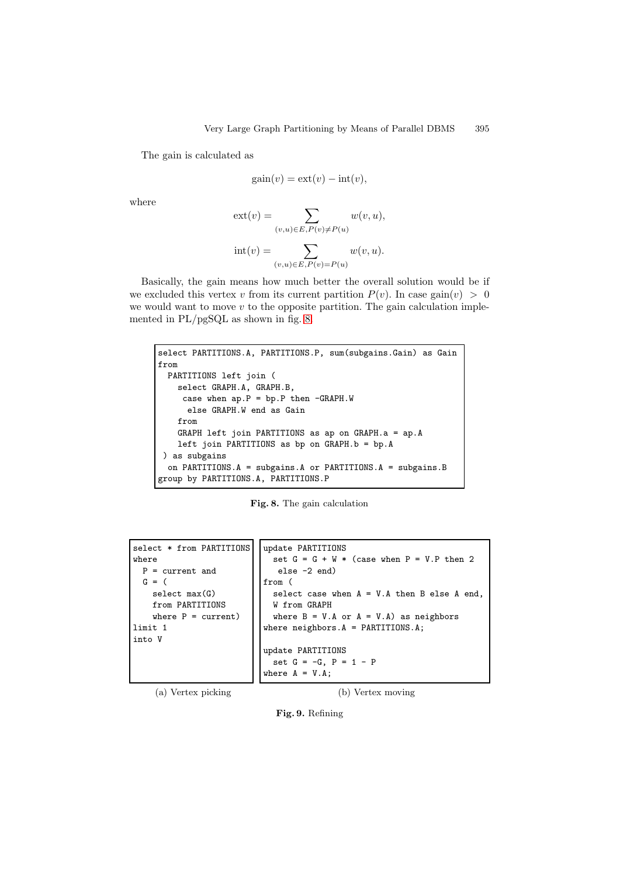The gain is calculated as

$$
gain(v) = ext(v) - int(v),
$$

where

$$
ext(v) = \sum_{(v,u)\in E, P(v)\neq P(u)} w(v,u),
$$

$$
int(v) = \sum_{(v,u)\in E, P(v)=P(u)} w(v,u).
$$

Basically, the gain means how much better the overall solution would be if we excluded this vertex v from its current partition  $P(v)$ . In case gain $(v) > 0$ we would want to move  $v$  to the opposite partition. The gain calculation implemented in PL/pgSQL as shown in fig. [8.](#page-7-0)

```
select PARTITIONS.A, PARTITIONS.P, sum(subgains.Gain) as Gain
from
 PARTITIONS left join (
   select GRAPH.A, GRAPH.B,
    case when ap.P = bp.P then -GRAPH.Welse GRAPH.W end as Gain
   from
   GRAPH left join PARTITIONS as ap on GRAPH.a = ap.A
   left join PARTITIONS as bp on GRAPH.b = bp.A
 ) as subgains
 on PARTITIONS.A = subgains.A or PARTITIONS.A = subgains.B
group by PARTITIONS.A, PARTITIONS.P
```
<span id="page-7-0"></span>**Fig. 8.** The gain calculation

| select * from PARTITIONS | update PARTITIONS                             |
|--------------------------|-----------------------------------------------|
| where                    | set $G = G + W *$ (case when $P = V.P$ then 2 |
| $P = current and$        | else -2 end)                                  |
| $G = ($                  | from (                                        |
| select max(G)            | select case when $A = V.A$ then B else A end, |
| from PARTITIONS          | W from GRAPH                                  |
| where $P = current$ )    | where $B = V.A$ or $A = V.A$ as neighbors     |
| limit 1                  | where $neighbors.A = PARTITIONS.A;$           |
| into V                   |                                               |
|                          | update PARTITIONS                             |
|                          | set $G = -G$ , $P = 1 - P$                    |
|                          | where $A = V.A$ ;                             |

(a) Vertex picking

(b) Vertex moving

<span id="page-7-1"></span>**Fig. 9.** Refining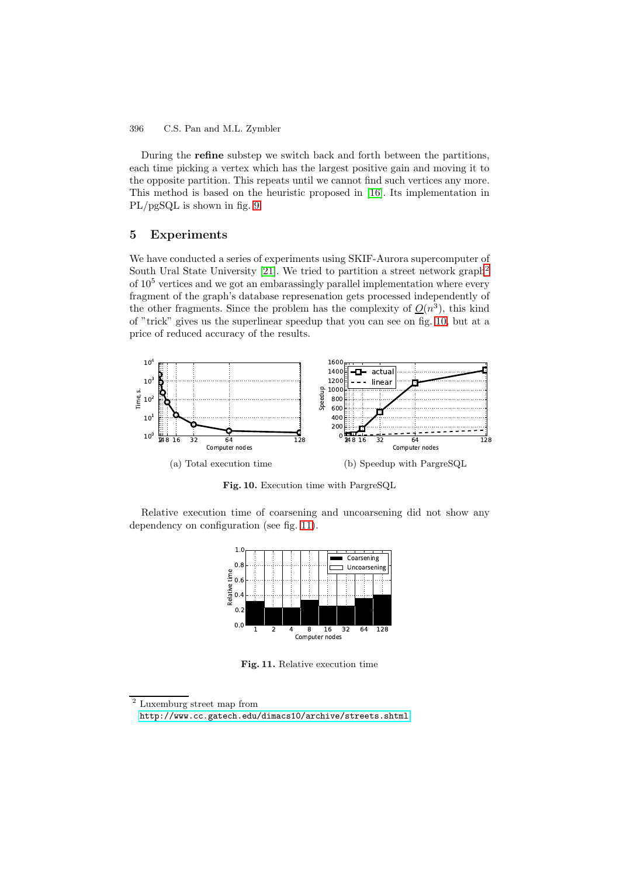During the **refine** substep we switch back and forth between the partitions, each time picking a vertex which has the largest positive gain and moving it to the opposite partition. This repeats until we cannot find such vertices any more. This method is based on the heuristic proposed in [\[16\]](#page-10-3). Its implementation in PL/pgSQL is shown in fig. [9.](#page-7-1)

# <span id="page-8-0"></span>**5 Experiments**

We have conducted a series of experiments using SKIF-Aurora supercomputer of South Ural State University [\[21\]](#page-11-7). We tried to partition a street network graph<sup>[2](#page-8-1)</sup> of  $10<sup>5</sup>$  vertices and we got an embarassingly parallel implementation where every fragment of the graph's database represenation gets processed independently of the other fragments. Since the problem has the complexity of  $O(n^3)$ , this kind of "trick" gives us the superlinear speedup that you can see on fig. [10,](#page-8-2) but at a price of reduced accuracy of the results.



<span id="page-8-2"></span>**Fig. 10.** Execution time with PargreSQL

Relative execution time of coarsening and uncoarsening did not show any dependency on configuration (see fig. [11\)](#page-8-3).



<span id="page-8-3"></span>**Fig. 11.** Relative execution time

 $\sqrt{2}$  Luxemburg street map from

<span id="page-8-1"></span><http://www.cc.gatech.edu/dimacs10/archive/streets.shtml>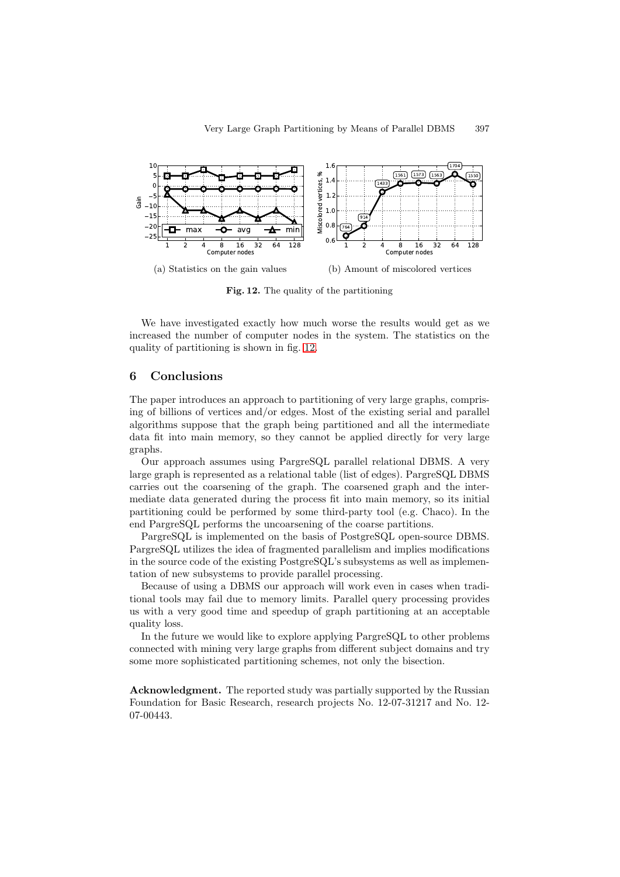

<span id="page-9-1"></span>**Fig. 12.** The quality of the partitioning

We have investigated exactly how much worse the results would get as we increased the number of computer nodes in the system. The statistics on the quality of partitioning is shown in fig. [12.](#page-9-1)

## **6 Conclusions**

The paper introduces an approach to partitioning of very large graphs, comprising of billions of vertices and/or edges. Most of the existing serial and parallel algorithms suppose that the graph being partitioned and all the intermediate data fit into main memory, so they cannot be applied directly for very large graphs.

Our approach assumes using PargreSQL parallel relational DBMS. A very large graph is represented as a relational table (list of edges). PargreSQL DBMS carries out the coarsening of the graph. The coarsened graph and the intermediate data generated during the process fit into main memory, so its initial partitioning could be performed by some third-party tool (e.g. Chaco). In the end PargreSQL performs the uncoarsening of the coarse partitions.

PargreSQL is implemented on the basis of PostgreSQL open-source DBMS. PargreSQL utilizes the idea of fragmented parallelism and implies modifications in the source code of the existing PostgreSQL's subsystems as well as implementation of new subsystems to provide parallel processing.

Because of using a DBMS our approach will work even in cases when traditional tools may fail due to memory limits. Parallel query processing provides us with a very good time and speedup of graph partitioning at an acceptable quality loss.

In the future we would like to explore applying PargreSQL to other problems connected with mining very large graphs from different subject domains and try some more sophisticated partitioning schemes, not only the bisection.

<span id="page-9-0"></span>**Acknowledgment.** The reported study was partially supported by the Russian Foundation for Basic Research, research projects No. 12-07-31217 and No. 12- 07-00443.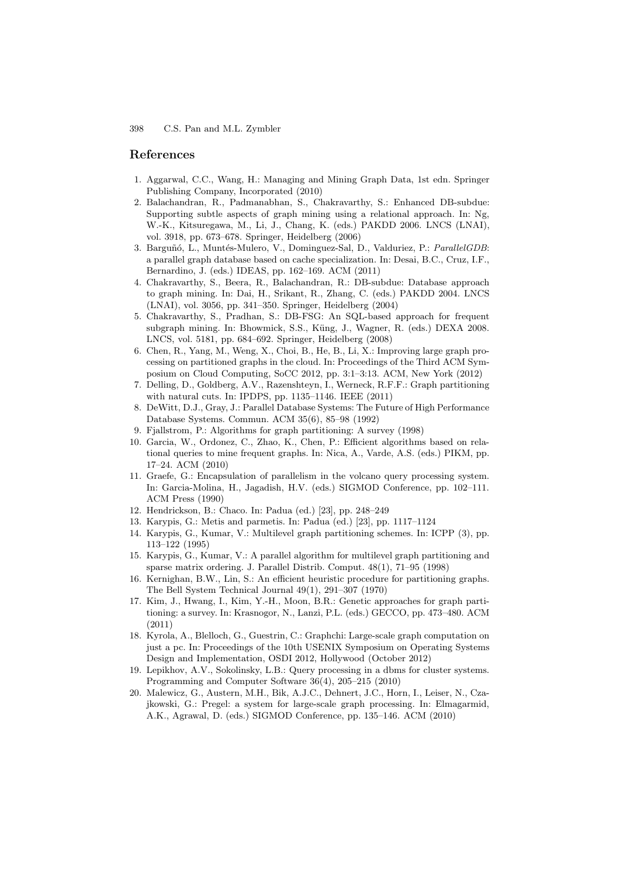## <span id="page-10-2"></span><span id="page-10-1"></span>**References**

- 1. Aggarwal, C.C., Wang, H.: Managing and Mining Graph Data, 1st edn. Springer Publishing Company, Incorporated (2010)
- <span id="page-10-15"></span>2. Balachandran, R., Padmanabhan, S., Chakravarthy, S.: Enhanced DB-subdue: Supporting subtle aspects of graph mining using a relational approach. In: Ng, W.-K., Kitsuregawa, M., Li, J., Chang, K. (eds.) PAKDD 2006. LNCS (LNAI), vol. 3918, pp. 673–678. Springer, Heidelberg (2006)
- <span id="page-10-11"></span>3. Barguñó, L., Muntés-Mulero, V., Dominguez-Sal, D., Valduriez, P.: *ParallelGDB*: a parallel graph database based on cache specialization. In: Desai, B.C., Cruz, I.F., Bernardino, J. (eds.) IDEAS, pp. 162–169. ACM (2011)
- <span id="page-10-16"></span>4. Chakravarthy, S., Beera, R., Balachandran, R.: DB-subdue: Database approach to graph mining. In: Dai, H., Srikant, R., Zhang, C. (eds.) PAKDD 2004. LNCS (LNAI), vol. 3056, pp. 341–350. Springer, Heidelberg (2004)
- <span id="page-10-13"></span>5. Chakravarthy, S., Pradhan, S.: DB-FSG: An SQL-based approach for frequent subgraph mining. In: Bhowmick, S.S., Küng, J., Wagner, R. (eds.) DEXA 2008. LNCS, vol. 5181, pp. 684–692. Springer, Heidelberg (2008)
- <span id="page-10-8"></span>6. Chen, R., Yang, M., Weng, X., Choi, B., He, B., Li, X.: Improving large graph processing on partitioned graphs in the cloud. In: Proceedings of the Third ACM Symposium on Cloud Computing, SoCC 2012, pp. 3:1–3:13. ACM, New York (2012)
- <span id="page-10-7"></span>7. Delling, D., Goldberg, A.V., Razenshteyn, I., Werneck, R.F.F.: Graph partitioning with natural cuts. In: IPDPS, pp. 1135–1146. IEEE (2011)
- <span id="page-10-18"></span>8. DeWitt, D.J., Gray, J.: Parallel Database Systems: The Future of High Performance Database Systems. Commun. ACM 35(6), 85–98 (1992)
- <span id="page-10-14"></span><span id="page-10-0"></span>9. Fjallstrom, P.: Algorithms for graph partitioning: A survey (1998)
- 10. Garcia, W., Ordonez, C., Zhao, K., Chen, P.: Efficient algorithms based on relational queries to mine frequent graphs. In: Nica, A., Varde, A.S. (eds.) PIKM, pp. 17–24. ACM (2010)
- <span id="page-10-19"></span>11. Graefe, G.: Encapsulation of parallelism in the volcano query processing system. In: Garcia-Molina, H., Jagadish, H.V. (eds.) SIGMOD Conference, pp. 102–111. ACM Press (1990)
- <span id="page-10-10"></span><span id="page-10-9"></span>12. Hendrickson, B.: Chaco. In: Padua (ed.) [23], pp. 248–249
- <span id="page-10-4"></span>13. Karypis, G.: Metis and parmetis. In: Padua (ed.) [23], pp. 1117–1124
- 14. Karypis, G., Kumar, V.: Multilevel graph partitioning schemes. In: ICPP (3), pp. 113–122 (1995)
- <span id="page-10-5"></span>15. Karypis, G., Kumar, V.: A parallel algorithm for multilevel graph partitioning and sparse matrix ordering. J. Parallel Distrib. Comput. 48(1), 71–95 (1998)
- <span id="page-10-3"></span>16. Kernighan, B.W., Lin, S.: An efficient heuristic procedure for partitioning graphs. The Bell System Technical Journal 49(1), 291–307 (1970)
- <span id="page-10-6"></span>17. Kim, J., Hwang, I., Kim, Y.-H., Moon, B.R.: Genetic approaches for graph partitioning: a survey. In: Krasnogor, N., Lanzi, P.L. (eds.) GECCO, pp. 473–480. ACM (2011)
- <span id="page-10-17"></span>18. Kyrola, A., Blelloch, G., Guestrin, C.: Graphchi: Large-scale graph computation on just a pc. In: Proceedings of the 10th USENIX Symposium on Operating Systems Design and Implementation, OSDI 2012, Hollywood (October 2012)
- <span id="page-10-20"></span>19. Lepikhov, A.V., Sokolinsky, L.B.: Query processing in a dbms for cluster systems. Programming and Computer Software 36(4), 205–215 (2010)
- <span id="page-10-12"></span>20. Malewicz, G., Austern, M.H., Bik, A.J.C., Dehnert, J.C., Horn, I., Leiser, N., Czajkowski, G.: Pregel: a system for large-scale graph processing. In: Elmagarmid, A.K., Agrawal, D. (eds.) SIGMOD Conference, pp. 135–146. ACM (2010)